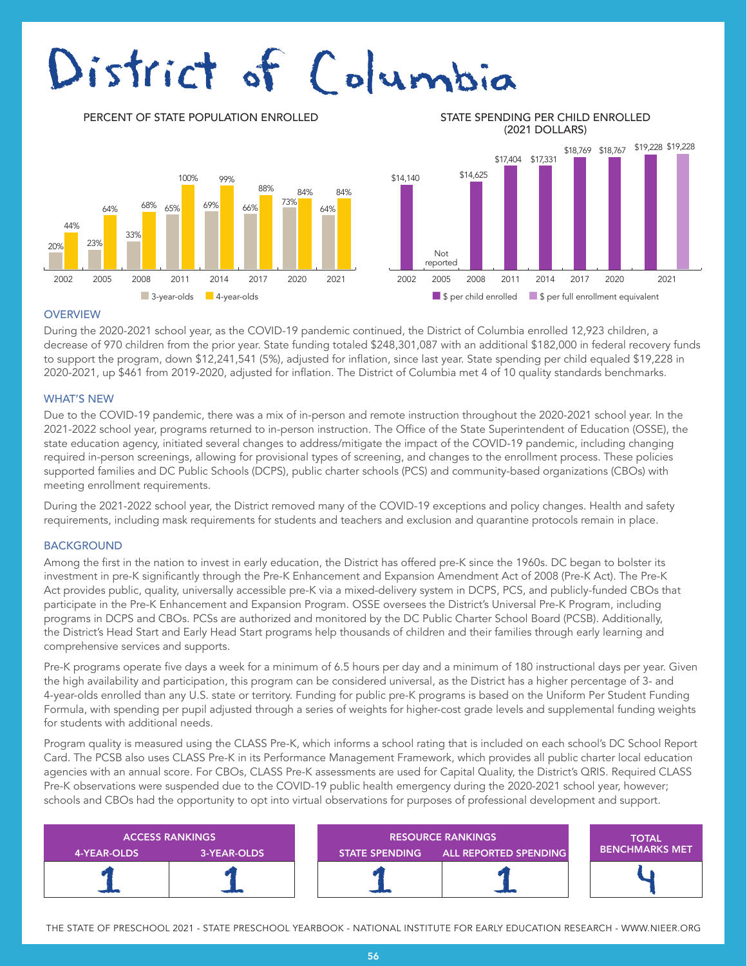# District of Columbia

DATA TO COME 2002 2005 2008 2011 2014 2017 2020 2021 2002 2005 2008 2011 2014 2017 2020 2021 84% 64% 84% 73% 88% 66% 99% 69% 100% 68% 65% 33% 64% 23% 44% 20%

PERCENT OF STATE POPULATION ENROLLED STATE SPENDING PER CHILD ENROLLED (2021 DOLLARS)



#### **OVERVIEW**

During the 2020-2021 school year, as the COVID-19 pandemic continued, the District of Columbia enrolled 12,923 children, a decrease of 970 children from the prior year. State funding totaled \$248,301,087 with an additional \$182,000 in federal recovery funds to support the program, down \$12,241,541 (5%), adjusted for inflation, since last year. State spending per child equaled \$19,228 in 2020-2021, up \$461 from 2019-2020, adjusted for inflation. The District of Columbia met 4 of 10 quality standards benchmarks.

#### WHAT'S NEW

Due to the COVID-19 pandemic, there was a mix of in-person and remote instruction throughout the 2020-2021 school year. In the 2021-2022 school year, programs returned to in-person instruction. The Office of the State Superintendent of Education (OSSE), the state education agency, initiated several changes to address/mitigate the impact of the COVID-19 pandemic, including changing required in-person screenings, allowing for provisional types of screening, and changes to the enrollment process. These policies supported families and DC Public Schools (DCPS), public charter schools (PCS) and community-based organizations (CBOs) with meeting enrollment requirements.

During the 2021-2022 school year, the District removed many of the COVID-19 exceptions and policy changes. Health and safety requirements, including mask requirements for students and teachers and exclusion and quarantine protocols remain in place.

#### **BACKGROUND**

Among the first in the nation to invest in early education, the District has offered pre-K since the 1960s. DC began to bolster its investment in pre-K significantly through the Pre-K Enhancement and Expansion Amendment Act of 2008 (Pre-K Act). The Pre-K Act provides public, quality, universally accessible pre-K via a mixed-delivery system in DCPS, PCS, and publicly-funded CBOs that participate in the Pre-K Enhancement and Expansion Program. OSSE oversees the District's Universal Pre-K Program, including programs in DCPS and CBOs. PCSs are authorized and monitored by the DC Public Charter School Board (PCSB). Additionally, the District's Head Start and Early Head Start programs help thousands of children and their families through early learning and comprehensive services and supports.

Pre-K programs operate five days a week for a minimum of 6.5 hours per day and a minimum of 180 instructional days per year. Given the high availability and participation, this program can be considered universal, as the District has a higher percentage of 3- and 4-year-olds enrolled than any U.S. state or territory. Funding for public pre-K programs is based on the Uniform Per Student Funding Formula, with spending per pupil adjusted through a series of weights for higher-cost grade levels and supplemental funding weights for students with additional needs.

Program quality is measured using the CLASS Pre-K, which informs a school rating that is included on each school's DC School Report Card. The PCSB also uses CLASS Pre-K in its Performance Management Framework, which provides all public charter local education agencies with an annual score. For CBOs, CLASS Pre-K assessments are used for Capital Quality, the District's QRIS. Required CLASS Pre-K observations were suspended due to the COVID-19 public health emergency during the 2020-2021 school year, however; schools and CBOs had the opportunity to opt into virtual observations for purposes of professional development and support.

| 4-YEAR-OLDS | <b>ACCESS RANKINGS</b><br>3-YEAR-OLDS | <b>RESOURCE RANKINGS</b><br>STATE SPENDING ALL REPORTED SPENDING |  | <b>TOTAL</b><br><b>I BENCHMARKS MET</b> |
|-------------|---------------------------------------|------------------------------------------------------------------|--|-----------------------------------------|
|             |                                       |                                                                  |  |                                         |

THE STATE OF PRESCHOOL 2021 - STATE PRESCHOOL YEARBOOK - NATIONAL INSTITUTE FOR EARLY EDUCATION RESEARCH - WWW.NIEER.ORG